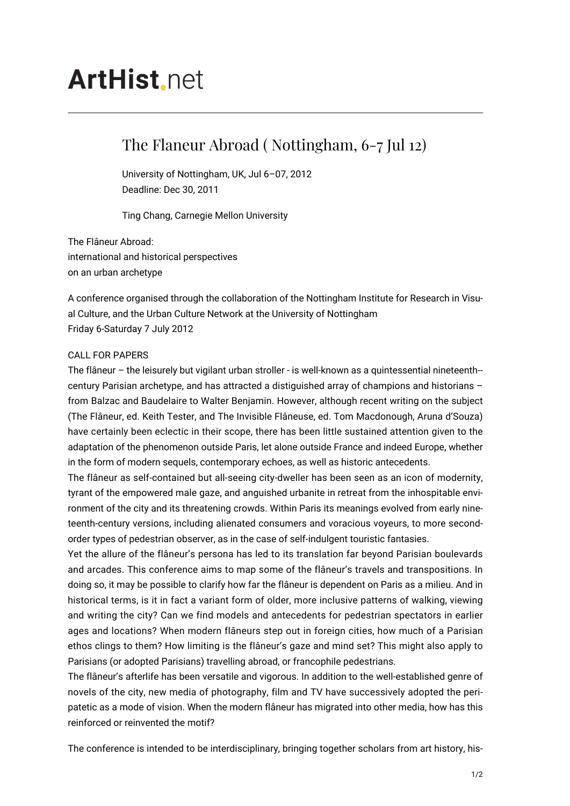## **ArtHist**, net

## The Flaneur Abroad ( Nottingham, 6-7 Jul 12)

University of Nottingham, UK, Jul 6–07, 2012 Deadline: Dec 30, 2011

Ting Chang, Carnegie Mellon University

The Flâneur Abroad: international and historical perspectives on an urban archetype

A conference organised through the collaboration of the Nottingham Institute for Research in Visual Culture, and the Urban Culture Network at the University of Nottingham Friday 6-Saturday 7 July 2012

## CALL FOR PAPERS

The flâneur – the leisurely but vigilant urban stroller - is well-known as a quintessential nineteenth- century Parisian archetype, and has attracted a distiguished array of champions and historians – from Balzac and Baudelaire to Walter Benjamin. However, although recent writing on the subject (The Flâneur, ed. Keith Tester, and The Invisible Flâneuse, ed. Tom Macdonough, Aruna d'Souza) have certainly been eclectic in their scope, there has been little sustained attention given to the adaptation of the phenomenon outside Paris, let alone outside France and indeed Europe, whether in the form of modern sequels, contemporary echoes, as well as historic antecedents.

The flâneur as self-contained but all-seeing city-dweller has been seen as an icon of modernity, tyrant of the empowered male gaze, and anguished urbanite in retreat from the inhospitable environment of the city and its threatening crowds. Within Paris its meanings evolved from early nineteenth-century versions, including alienated consumers and voracious voyeurs, to more secondorder types of pedestrian observer, as in the case of self-indulgent touristic fantasies.

Yet the allure of the flâneur's persona has led to its translation far beyond Parisian boulevards and arcades. This conference aims to map some of the flâneur's travels and transpositions. In doing so, it may be possible to clarify how far the flâneur is dependent on Paris as a milieu. And in historical terms, is it in fact a variant form of older, more inclusive patterns of walking, viewing and writing the city? Can we find models and antecedents for pedestrian spectators in earlier ages and locations? When modern flâneurs step out in foreign cities, how much of a Parisian ethos clings to them? How limiting is the flâneur's gaze and mind set? This might also apply to Parisians (or adopted Parisians) travelling abroad, or francophile pedestrians.

The flâneur's afterlife has been versatile and vigorous. In addition to the well-established genre of novels of the city, new media of photography, film and TV have successively adopted the peripatetic as a mode of vision. When the modern flâneur has migrated into other media, how has this reinforced or reinvented the motif?

The conference is intended to be interdisciplinary, bringing together scholars from art history, his-